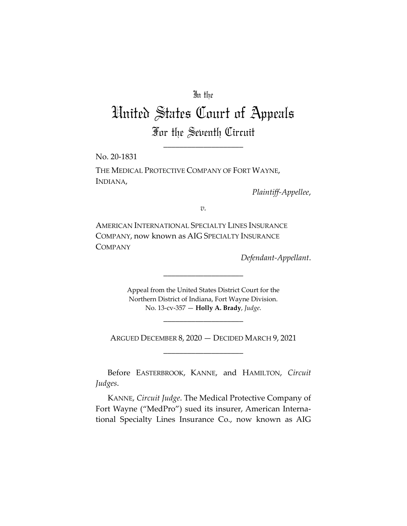# In the

# United States Court of Appeals For the Seventh Circuit

\_\_\_\_\_\_\_\_\_\_\_\_\_\_\_\_\_\_\_\_

No. 20-1831

THE MEDICAL PROTECTIVE COMPANY OF FORT WAYNE, INDIANA,

*Plaintiff-Appellee*,

*v.*

AMERICAN INTERNATIONAL SPECIALTY LINES INSURANCE COMPANY, now known as AIG SPECIALTY INSURANCE COMPANY

*Defendant-Appellant*.

Appeal from the United States District Court for the Northern District of Indiana, Fort Wayne Division. No. 13-cv-357 — **Holly A. Brady**, *Judge*.

\_\_\_\_\_\_\_\_\_\_\_\_\_\_\_\_\_\_\_\_

ARGUED DECEMBER 8, 2020 — DECIDED MARCH 9, 2021 \_\_\_\_\_\_\_\_\_\_\_\_\_\_\_\_\_\_\_\_

\_\_\_\_\_\_\_\_\_\_\_\_\_\_\_\_\_\_\_\_

Before EASTERBROOK, KANNE, and HAMILTON, *Circuit Judges*.

KANNE, *Circuit Judge*. The Medical Protective Company of Fort Wayne ("MedPro") sued its insurer, American International Specialty Lines Insurance Co., now known as AIG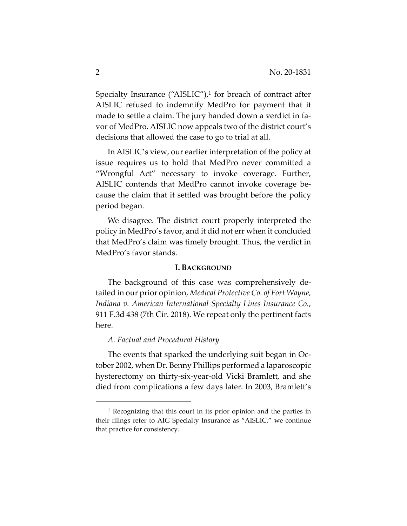Specialty Insurance ("AISLIC"), $1$  for breach of contract after AISLIC refused to indemnify MedPro for payment that it made to settle a claim. The jury handed down a verdict in favor of MedPro. AISLIC now appeals two of the district court's decisions that allowed the case to go to trial at all.

In AISLIC's view, our earlier interpretation of the policy at issue requires us to hold that MedPro never committed a "Wrongful Act" necessary to invoke coverage. Further, AISLIC contends that MedPro cannot invoke coverage because the claim that it settled was brought before the policy period began.

We disagree. The district court properly interpreted the policy in MedPro's favor, and it did not err when it concluded that MedPro's claim was timely brought. Thus, the verdict in MedPro's favor stands.

#### **I. BACKGROUND**

The background of this case was comprehensively detailed in our prior opinion, *Medical Protective Co. of Fort Wayne, Indiana v. American International Specialty Lines Insurance Co.*, 911 F.3d 438 (7th Cir. 2018). We repeat only the pertinent facts here.

### *A. Factual and Procedural History*

The events that sparked the underlying suit began in October 2002, when Dr. Benny Phillips performed a laparoscopic hysterectomy on thirty-six-year-old Vicki Bramlett, and she died from complications a few days later. In 2003, Bramlett's

<sup>1</sup> Recognizing that this court in its prior opinion and the parties in their filings refer to AIG Specialty Insurance as "AISLIC," we continue that practice for consistency.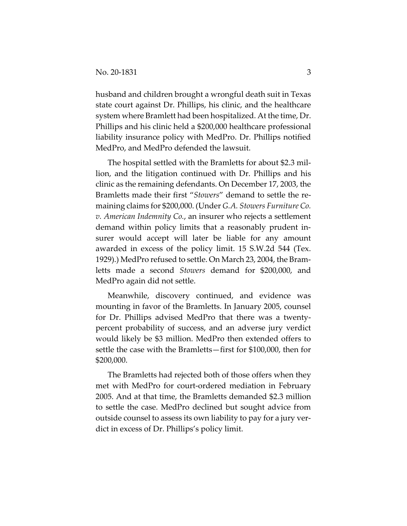husband and children brought a wrongful death suit in Texas state court against Dr. Phillips, his clinic, and the healthcare system where Bramlett had been hospitalized. At the time, Dr. Phillips and his clinic held a \$200,000 healthcare professional liability insurance policy with MedPro. Dr. Phillips notified MedPro, and MedPro defended the lawsuit.

The hospital settled with the Bramletts for about \$2.3 million, and the litigation continued with Dr. Phillips and his clinic as the remaining defendants. On December 17, 2003, the Bramletts made their first "*Stowers*" demand to settle the remaining claims for \$200,000. (Under *G.A. Stowers Furniture Co. v. American Indemnity Co.*, an insurer who rejects a settlement demand within policy limits that a reasonably prudent insurer would accept will later be liable for any amount awarded in excess of the policy limit. 15 S.W.2d 544 (Tex. 1929).) MedPro refused to settle. On March 23, 2004, the Bramletts made a second *Stowers* demand for \$200,000, and MedPro again did not settle.

Meanwhile, discovery continued, and evidence was mounting in favor of the Bramletts. In January 2005, counsel for Dr. Phillips advised MedPro that there was a twentypercent probability of success, and an adverse jury verdict would likely be \$3 million. MedPro then extended offers to settle the case with the Bramletts—first for \$100,000, then for \$200,000.

The Bramletts had rejected both of those offers when they met with MedPro for court-ordered mediation in February 2005. And at that time, the Bramletts demanded \$2.3 million to settle the case. MedPro declined but sought advice from outside counsel to assess its own liability to pay for a jury verdict in excess of Dr. Phillips's policy limit.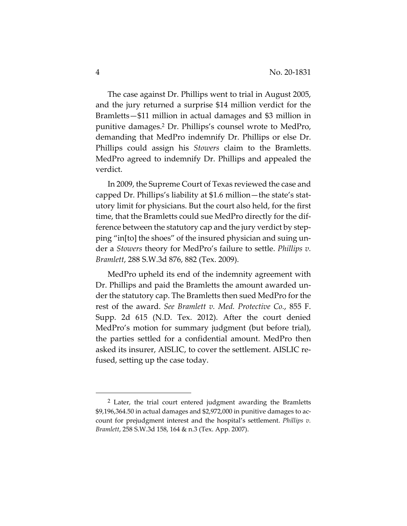The case against Dr. Phillips went to trial in August 2005, and the jury returned a surprise \$14 million verdict for the Bramletts—\$11 million in actual damages and \$3 million in punitive damages.2 Dr. Phillips's counsel wrote to MedPro, demanding that MedPro indemnify Dr. Phillips or else Dr. Phillips could assign his *Stowers* claim to the Bramletts. MedPro agreed to indemnify Dr. Phillips and appealed the verdict.

In 2009, the Supreme Court of Texas reviewed the case and capped Dr. Phillips's liability at \$1.6 million—the state's statutory limit for physicians. But the court also held, for the first time, that the Bramletts could sue MedPro directly for the difference between the statutory cap and the jury verdict by stepping "in[to] the shoes" of the insured physician and suing under a *Stowers* theory for MedPro's failure to settle. *Phillips v. Bramlett*, 288 S.W.3d 876, 882 (Tex. 2009).

MedPro upheld its end of the indemnity agreement with Dr. Phillips and paid the Bramletts the amount awarded under the statutory cap. The Bramletts then sued MedPro for the rest of the award. *See Bramlett v. Med. Protective Co.*, 855 F. Supp. 2d 615 (N.D. Tex. 2012). After the court denied MedPro's motion for summary judgment (but before trial), the parties settled for a confidential amount. MedPro then asked its insurer, AISLIC, to cover the settlement. AISLIC refused, setting up the case today.

<sup>2</sup> Later, the trial court entered judgment awarding the Bramletts \$9,196,364.50 in actual damages and \$2,972,000 in punitive damages to account for prejudgment interest and the hospital's settlement. *Phillips v. Bramlett*, 258 S.W.3d 158, 164 & n.3 (Tex. App. 2007).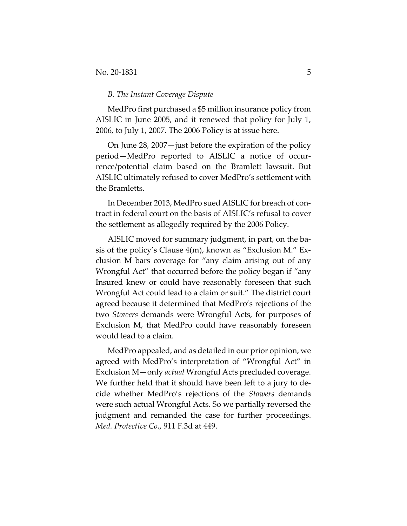#### *B. The Instant Coverage Dispute*

MedPro first purchased a \$5 million insurance policy from AISLIC in June 2005, and it renewed that policy for July 1, 2006, to July 1, 2007. The 2006 Policy is at issue here.

On June 28, 2007—just before the expiration of the policy period—MedPro reported to AISLIC a notice of occurrence/potential claim based on the Bramlett lawsuit. But AISLIC ultimately refused to cover MedPro's settlement with the Bramletts.

In December 2013, MedPro sued AISLIC for breach of contract in federal court on the basis of AISLIC's refusal to cover the settlement as allegedly required by the 2006 Policy.

AISLIC moved for summary judgment, in part, on the basis of the policy's Clause 4(m), known as "Exclusion M." Exclusion M bars coverage for "any claim arising out of any Wrongful Act" that occurred before the policy began if "any Insured knew or could have reasonably foreseen that such Wrongful Act could lead to a claim or suit." The district court agreed because it determined that MedPro's rejections of the two *Stowers* demands were Wrongful Acts, for purposes of Exclusion M, that MedPro could have reasonably foreseen would lead to a claim.

MedPro appealed, and as detailed in our prior opinion, we agreed with MedPro's interpretation of "Wrongful Act" in Exclusion M—only *actual* Wrongful Acts precluded coverage. We further held that it should have been left to a jury to decide whether MedPro's rejections of the *Stowers* demands were such actual Wrongful Acts. So we partially reversed the judgment and remanded the case for further proceedings. *Med. Protective Co.*, 911 F.3d at 449.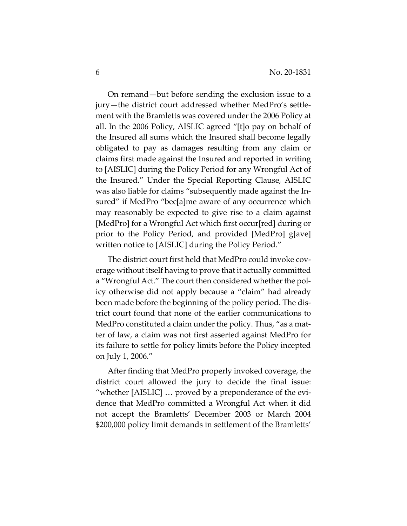On remand—but before sending the exclusion issue to a jury—the district court addressed whether MedPro's settlement with the Bramletts was covered under the 2006 Policy at all. In the 2006 Policy, AISLIC agreed "[t]o pay on behalf of the Insured all sums which the Insured shall become legally obligated to pay as damages resulting from any claim or claims first made against the Insured and reported in writing to [AISLIC] during the Policy Period for any Wrongful Act of the Insured." Under the Special Reporting Clause, AISLIC was also liable for claims "subsequently made against the Insured" if MedPro "bec[a]me aware of any occurrence which may reasonably be expected to give rise to a claim against [MedPro] for a Wrongful Act which first occur[red] during or prior to the Policy Period, and provided [MedPro] g[ave] written notice to [AISLIC] during the Policy Period."

The district court first held that MedPro could invoke coverage without itself having to prove that it actually committed a "Wrongful Act." The court then considered whether the policy otherwise did not apply because a "claim" had already been made before the beginning of the policy period. The district court found that none of the earlier communications to MedPro constituted a claim under the policy. Thus, "as a matter of law, a claim was not first asserted against MedPro for its failure to settle for policy limits before the Policy incepted on July 1, 2006."

After finding that MedPro properly invoked coverage, the district court allowed the jury to decide the final issue: "whether [AISLIC] … proved by a preponderance of the evidence that MedPro committed a Wrongful Act when it did not accept the Bramletts' December 2003 or March 2004 \$200,000 policy limit demands in settlement of the Bramletts'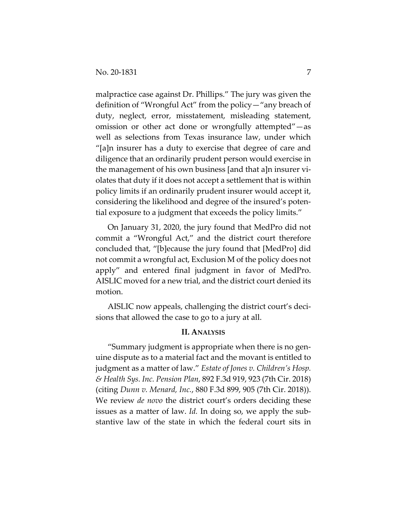malpractice case against Dr. Phillips." The jury was given the definition of "Wrongful Act" from the policy—"any breach of duty, neglect, error, misstatement, misleading statement, omission or other act done or wrongfully attempted"—as well as selections from Texas insurance law, under which "[a]n insurer has a duty to exercise that degree of care and diligence that an ordinarily prudent person would exercise in the management of his own business [and that a]n insurer violates that duty if it does not accept a settlement that is within policy limits if an ordinarily prudent insurer would accept it, considering the likelihood and degree of the insured's potential exposure to a judgment that exceeds the policy limits."

On January 31, 2020, the jury found that MedPro did not commit a "Wrongful Act," and the district court therefore concluded that, "[b]ecause the jury found that [MedPro] did not commit a wrongful act, Exclusion M of the policy does not apply" and entered final judgment in favor of MedPro. AISLIC moved for a new trial, and the district court denied its motion.

AISLIC now appeals, challenging the district court's decisions that allowed the case to go to a jury at all.

## **II. ANALYSIS**

"Summary judgment is appropriate when there is no genuine dispute as to a material fact and the movant is entitled to judgment as a matter of law." *Estate of Jones v. Children's Hosp. & Health Sys. Inc. Pension Plan*, 892 F.3d 919, 923 (7th Cir. 2018) (citing *Dunn v. Menard, Inc.*, 880 F.3d 899, 905 (7th Cir. 2018)). We review *de novo* the district court's orders deciding these issues as a matter of law. *Id.* In doing so, we apply the substantive law of the state in which the federal court sits in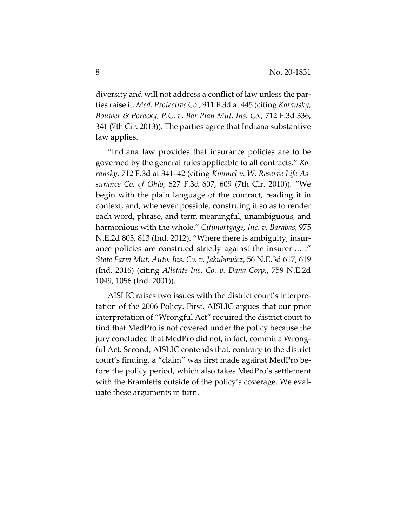diversity and will not address a conflict of law unless the parties raise it. *Med. Protective Co.*, 911 F.3d at 445 (citing *Koransky, Bouwer & Poracky, P.C. v. Bar Plan Mut. Ins. Co.*, 712 F.3d 336, 341 (7th Cir. 2013)). The parties agree that Indiana substantive law applies.

"Indiana law provides that insurance policies are to be governed by the general rules applicable to all contracts." *Koransky*, 712 F.3d at 341–42 (citing *Kimmel v. W. Reserve Life Assurance Co. of Ohio*, 627 F.3d 607, 609 (7th Cir. 2010)). "We begin with the plain language of the contract, reading it in context, and, whenever possible, construing it so as to render each word, phrase, and term meaningful, unambiguous, and harmonious with the whole." *Citimortgage, Inc. v. Barabas*, 975 N.E.2d 805, 813 (Ind. 2012). "Where there is ambiguity, insurance policies are construed strictly against the insurer … ." *State Farm Mut. Auto. Ins. Co. v. Jakubowicz*, 56 N.E.3d 617, 619 (Ind. 2016) (citing *Allstate Ins. Co. v. Dana Corp.*, 759 N.E.2d 1049, 1056 (Ind. 2001)).

AISLIC raises two issues with the district court's interpretation of the 2006 Policy. First, AISLIC argues that our prior interpretation of "Wrongful Act" required the district court to find that MedPro is not covered under the policy because the jury concluded that MedPro did not, in fact, commit a Wrongful Act. Second, AISLIC contends that, contrary to the district court's finding, a "claim" was first made against MedPro before the policy period, which also takes MedPro's settlement with the Bramletts outside of the policy's coverage. We evaluate these arguments in turn.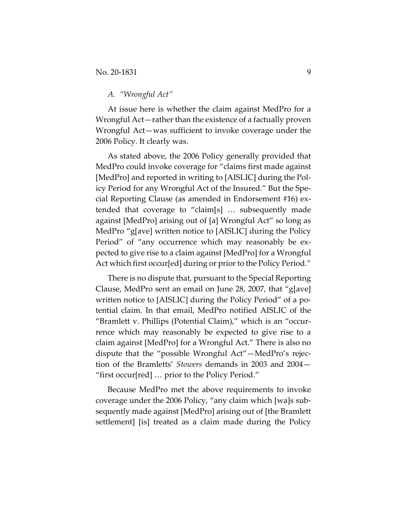## *A. "Wrongful Act"*

At issue here is whether the claim against MedPro for a Wrongful Act—rather than the existence of a factually proven Wrongful Act—was sufficient to invoke coverage under the 2006 Policy. It clearly was.

As stated above, the 2006 Policy generally provided that MedPro could invoke coverage for "claims first made against [MedPro] and reported in writing to [AISLIC] during the Policy Period for any Wrongful Act of the Insured." But the Special Reporting Clause (as amended in Endorsement #16) extended that coverage to "claim[s] … subsequently made against [MedPro] arising out of [a] Wrongful Act" so long as MedPro "g[ave] written notice to [AISLIC] during the Policy Period" of "any occurrence which may reasonably be expected to give rise to a claim against [MedPro] for a Wrongful Act which first occur[ed] during or prior to the Policy Period."

There is no dispute that, pursuant to the Special Reporting Clause, MedPro sent an email on June 28, 2007, that "g[ave] written notice to [AISLIC] during the Policy Period" of a potential claim. In that email, MedPro notified AISLIC of the "Bramlett v. Phillips (Potential Claim)," which is an "occurrence which may reasonably be expected to give rise to a claim against [MedPro] for a Wrongful Act." There is also no dispute that the "possible Wrongful Act"—MedPro's rejection of the Bramletts' *Stowers* demands in 2003 and 2004— "first occur[red] … prior to the Policy Period."

Because MedPro met the above requirements to invoke coverage under the 2006 Policy, "any claim which [wa]s subsequently made against [MedPro] arising out of [the Bramlett settlement] [is] treated as a claim made during the Policy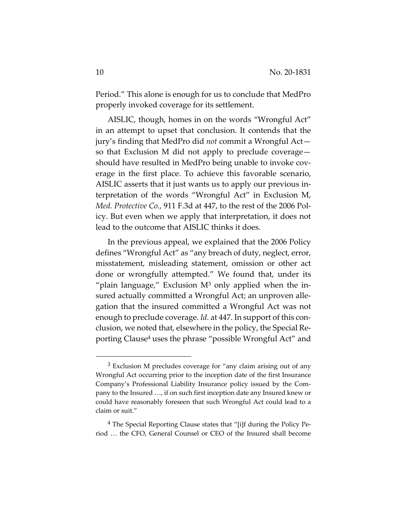Period." This alone is enough for us to conclude that MedPro properly invoked coverage for its settlement.

AISLIC, though, homes in on the words "Wrongful Act" in an attempt to upset that conclusion. It contends that the jury's finding that MedPro did *not* commit a Wrongful Act so that Exclusion M did not apply to preclude coverage should have resulted in MedPro being unable to invoke coverage in the first place. To achieve this favorable scenario, AISLIC asserts that it just wants us to apply our previous interpretation of the words "Wrongful Act" in Exclusion M, *Med. Protective Co.*, 911 F.3d at 447, to the rest of the 2006 Policy. But even when we apply that interpretation, it does not lead to the outcome that AISLIC thinks it does.

In the previous appeal, we explained that the 2006 Policy defines "Wrongful Act" as "any breach of duty, neglect, error, misstatement, misleading statement, omission or other act done or wrongfully attempted." We found that, under its "plain language," Exclusion  $M<sup>3</sup>$  only applied when the insured actually committed a Wrongful Act; an unproven allegation that the insured committed a Wrongful Act was not enough to preclude coverage. *Id.* at 447. In support of this conclusion, we noted that, elsewhere in the policy, the Special Reporting Clause4 uses the phrase "possible Wrongful Act" and

<sup>3</sup> Exclusion M precludes coverage for "any claim arising out of any Wrongful Act occurring prior to the inception date of the first Insurance Company's Professional Liability Insurance policy issued by the Company to the Insured …, if on such first inception date any Insured knew or could have reasonably foreseen that such Wrongful Act could lead to a claim or suit."

<sup>4</sup> The Special Reporting Clause states that "[i]f during the Policy Period … the CFO, General Counsel or CEO of the Insured shall become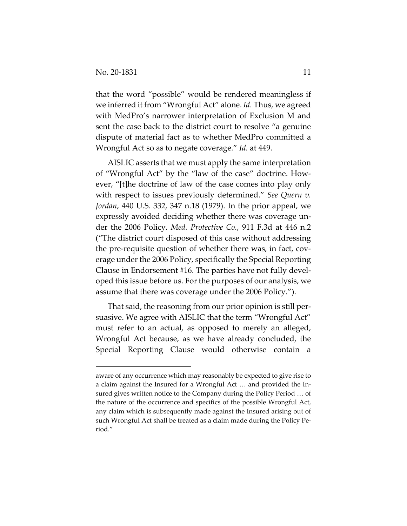that the word "possible" would be rendered meaningless if we inferred it from "Wrongful Act" alone. *Id.* Thus, we agreed with MedPro's narrower interpretation of Exclusion M and sent the case back to the district court to resolve "a genuine dispute of material fact as to whether MedPro committed a Wrongful Act so as to negate coverage." *Id.* at 449.

AISLIC asserts that we must apply the same interpretation of "Wrongful Act" by the "law of the case" doctrine. However, "[t]he doctrine of law of the case comes into play only with respect to issues previously determined." *See Quern v. Jordan*, 440 U.S. 332, 347 n.18 (1979). In the prior appeal, we expressly avoided deciding whether there was coverage under the 2006 Policy. *Med. Protective Co.*, 911 F.3d at 446 n.2 ("The district court disposed of this case without addressing the pre-requisite question of whether there was, in fact, coverage under the 2006 Policy, specifically the Special Reporting Clause in Endorsement #16. The parties have not fully developed this issue before us. For the purposes of our analysis, we assume that there was coverage under the 2006 Policy.").

That said, the reasoning from our prior opinion is still persuasive. We agree with AISLIC that the term "Wrongful Act" must refer to an actual, as opposed to merely an alleged, Wrongful Act because, as we have already concluded, the Special Reporting Clause would otherwise contain a

aware of any occurrence which may reasonably be expected to give rise to a claim against the Insured for a Wrongful Act … and provided the Insured gives written notice to the Company during the Policy Period … of the nature of the occurrence and specifics of the possible Wrongful Act, any claim which is subsequently made against the Insured arising out of such Wrongful Act shall be treated as a claim made during the Policy Period."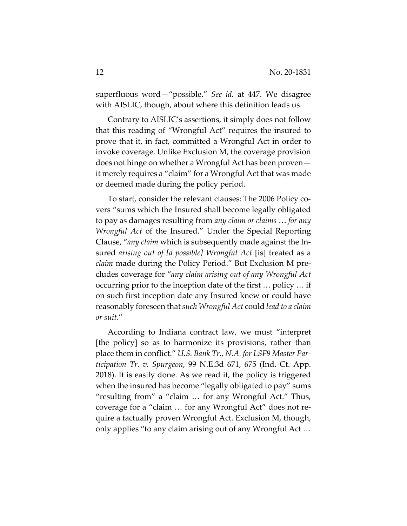superfluous word—"possible." *See id.* at 447. We disagree with AISLIC, though, about where this definition leads us.

Contrary to AISLIC's assertions, it simply does not follow that this reading of "Wrongful Act" requires the insured to prove that it, in fact, committed a Wrongful Act in order to invoke coverage. Unlike Exclusion M, the coverage provision does not hinge on whether a Wrongful Act has been proven it merely requires a "claim" for a Wrongful Act that was made or deemed made during the policy period.

To start, consider the relevant clauses: The 2006 Policy covers "sums which the Insured shall become legally obligated to pay as damages resulting from *any claim or claims* … *for any Wrongful Act* of the Insured." Under the Special Reporting Clause, "*any claim* which is subsequently made against the Insured *arising out of [a possible] Wrongful Act* [is] treated as a *claim* made during the Policy Period." But Exclusion M precludes coverage for "*any claim arising out of any Wrongful Act* occurring prior to the inception date of the first … policy … if on such first inception date any Insured knew or could have reasonably foreseen that *such Wrongful Act* could *lead to a claim or suit*."

According to Indiana contract law, we must "interpret [the policy] so as to harmonize its provisions, rather than place them in conflict." *U.S. Bank Tr., N.A. for LSF9 Master Participation Tr. v. Spurgeon*, 99 N.E.3d 671, 675 (Ind. Ct. App. 2018). It is easily done. As we read it, the policy is triggered when the insured has become "legally obligated to pay" sums "resulting from" a "claim … for any Wrongful Act." Thus, coverage for a "claim … for any Wrongful Act" does not require a factually proven Wrongful Act. Exclusion M, though, only applies "to any claim arising out of any Wrongful Act …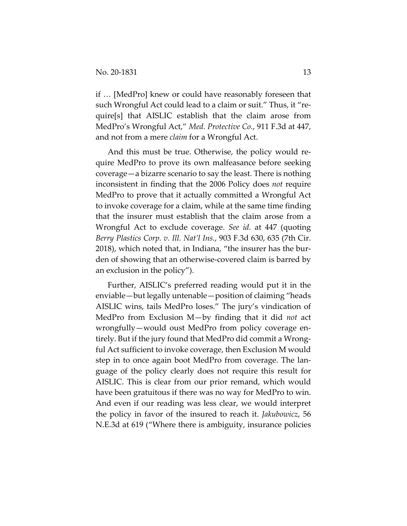if … [MedPro] knew or could have reasonably foreseen that such Wrongful Act could lead to a claim or suit." Thus, it "require[s] that AISLIC establish that the claim arose from MedPro's Wrongful Act," *Med. Protective Co.*, 911 F.3d at 447, and not from a mere *claim* for a Wrongful Act.

And this must be true. Otherwise, the policy would require MedPro to prove its own malfeasance before seeking coverage—a bizarre scenario to say the least. There is nothing inconsistent in finding that the 2006 Policy does *not* require MedPro to prove that it actually committed a Wrongful Act to invoke coverage for a claim, while at the same time finding that the insurer must establish that the claim arose from a Wrongful Act to exclude coverage. *See id.* at 447 (quoting *Berry Plastics Corp. v. Ill. Nat'l Ins.*, 903 F.3d 630, 635 (7th Cir. 2018), which noted that, in Indiana, "the insurer has the burden of showing that an otherwise-covered claim is barred by an exclusion in the policy").

Further, AISLIC's preferred reading would put it in the enviable—but legally untenable—position of claiming "heads AISLIC wins, tails MedPro loses." The jury's vindication of MedPro from Exclusion M—by finding that it did *not* act wrongfully—would oust MedPro from policy coverage entirely. But if the jury found that MedPro did commit a Wrongful Act sufficient to invoke coverage, then Exclusion M would step in to once again boot MedPro from coverage. The language of the policy clearly does not require this result for AISLIC. This is clear from our prior remand, which would have been gratuitous if there was no way for MedPro to win. And even if our reading was less clear, we would interpret the policy in favor of the insured to reach it. *Jakubowicz*, 56 N.E.3d at 619 ("Where there is ambiguity, insurance policies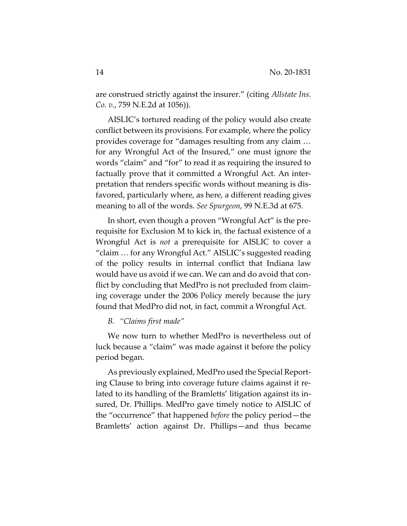are construed strictly against the insurer." (citing *Allstate Ins. Co. v.*, 759 N.E.2d at 1056)).

AISLIC's tortured reading of the policy would also create conflict between its provisions. For example, where the policy provides coverage for "damages resulting from any claim … for any Wrongful Act of the Insured," one must ignore the words "claim" and "for" to read it as requiring the insured to factually prove that it committed a Wrongful Act. An interpretation that renders specific words without meaning is disfavored, particularly where, as here, a different reading gives meaning to all of the words. *See Spurgeon*, 99 N.E.3d at 675.

In short, even though a proven "Wrongful Act" is the prerequisite for Exclusion M to kick in, the factual existence of a Wrongful Act is *not* a prerequisite for AISLIC to cover a "claim … for any Wrongful Act." AISLIC's suggested reading of the policy results in internal conflict that Indiana law would have us avoid if we can. We can and do avoid that conflict by concluding that MedPro is not precluded from claiming coverage under the 2006 Policy merely because the jury found that MedPro did not, in fact, commit a Wrongful Act.

## *B. "Claims first made"*

We now turn to whether MedPro is nevertheless out of luck because a "claim" was made against it before the policy period began.

As previously explained, MedPro used the Special Reporting Clause to bring into coverage future claims against it related to its handling of the Bramletts' litigation against its insured, Dr. Phillips. MedPro gave timely notice to AISLIC of the "occurrence" that happened *before* the policy period—the Bramletts' action against Dr. Phillips—and thus became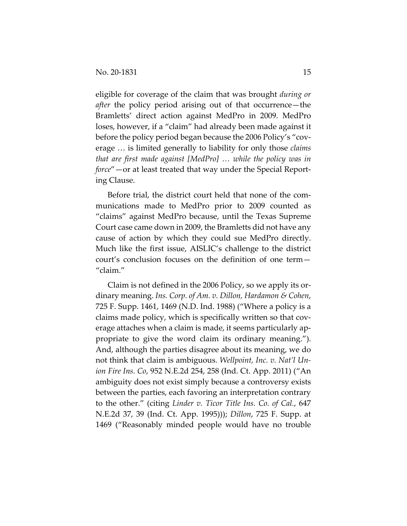eligible for coverage of the claim that was brought *during or after* the policy period arising out of that occurrence—the Bramletts' direct action against MedPro in 2009. MedPro loses, however, if a "claim" had already been made against it before the policy period began because the 2006 Policy's "coverage … is limited generally to liability for only those *claims that are first made against [MedPro] … while the policy was in force*"—or at least treated that way under the Special Reporting Clause.

Before trial, the district court held that none of the communications made to MedPro prior to 2009 counted as "claims" against MedPro because, until the Texas Supreme Court case came down in 2009, the Bramletts did not have any cause of action by which they could sue MedPro directly. Much like the first issue, AISLIC's challenge to the district court's conclusion focuses on the definition of one term— "claim."

Claim is not defined in the 2006 Policy, so we apply its ordinary meaning. *Ins. Corp. of Am. v. Dillon, Hardamon & Cohen*, 725 F. Supp. 1461, 1469 (N.D. Ind. 1988) ("Where a policy is a claims made policy, which is specifically written so that coverage attaches when a claim is made, it seems particularly appropriate to give the word claim its ordinary meaning."). And, although the parties disagree about its meaning, we do not think that claim is ambiguous. *Wellpoint, Inc. v. Nat'l Union Fire Ins. Co*, 952 N.E.2d 254, 258 (Ind. Ct. App. 2011) ("An ambiguity does not exist simply because a controversy exists between the parties, each favoring an interpretation contrary to the other." (citing *Linder v. Ticor Title Ins. Co. of Cal.*, 647 N.E.2d 37, 39 (Ind. Ct. App. 1995))); *Dillon*, 725 F. Supp. at 1469 ("Reasonably minded people would have no trouble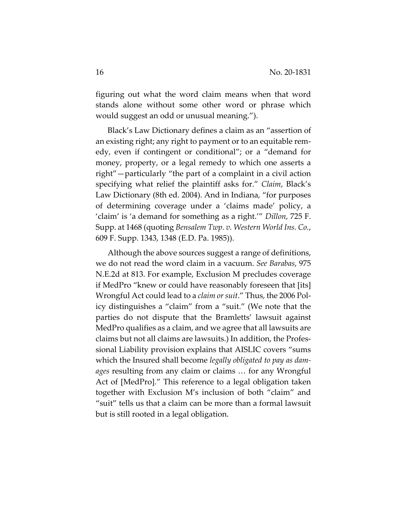figuring out what the word claim means when that word stands alone without some other word or phrase which would suggest an odd or unusual meaning.").

Black's Law Dictionary defines a claim as an "assertion of an existing right; any right to payment or to an equitable remedy, even if contingent or conditional"; or a "demand for money, property, or a legal remedy to which one asserts a right"—particularly "the part of a complaint in a civil action specifying what relief the plaintiff asks for." *Claim*, Black's Law Dictionary (8th ed. 2004). And in Indiana, "for purposes of determining coverage under a 'claims made' policy, a 'claim' is 'a demand for something as a right.'" *Dillon*, 725 F. Supp. at 1468 (quoting *Bensalem Twp. v. Western World Ins. Co.*, 609 F. Supp. 1343, 1348 (E.D. Pa. 1985)).

Although the above sources suggest a range of definitions, we do not read the word claim in a vacuum. *See Barabas*, 975 N.E.2d at 813. For example, Exclusion M precludes coverage if MedPro "knew or could have reasonably foreseen that [its] Wrongful Act could lead to a *claim or suit*." Thus, the 2006 Policy distinguishes a "claim" from a "suit." (We note that the parties do not dispute that the Bramletts' lawsuit against MedPro qualifies as a claim, and we agree that all lawsuits are claims but not all claims are lawsuits.) In addition, the Professional Liability provision explains that AISLIC covers "sums which the Insured shall become *legally obligated to pay as damages* resulting from any claim or claims … for any Wrongful Act of [MedPro]." This reference to a legal obligation taken together with Exclusion M's inclusion of both "claim" and "suit" tells us that a claim can be more than a formal lawsuit but is still rooted in a legal obligation.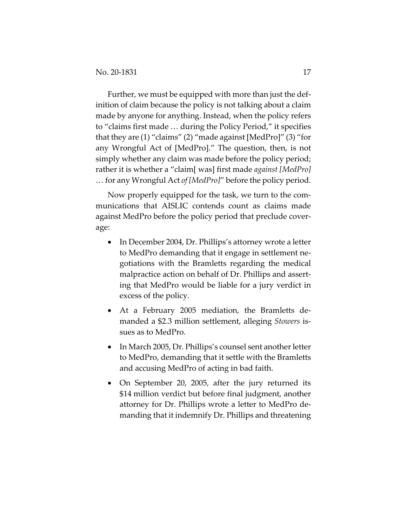Further, we must be equipped with more than just the definition of claim because the policy is not talking about a claim made by anyone for anything. Instead, when the policy refers to "claims first made … during the Policy Period," it specifies that they are (1) "claims" (2) "made against [MedPro]" (3) "for any Wrongful Act of [MedPro]." The question, then, is not simply whether any claim was made before the policy period; rather it is whether a "claim[ was] first made *against [MedPro]*  … for any Wrongful Act *of [MedPro]*" before the policy period.

Now properly equipped for the task, we turn to the communications that AISLIC contends count as claims made against MedPro before the policy period that preclude coverage:

- In December 2004, Dr. Phillips's attorney wrote a letter to MedPro demanding that it engage in settlement negotiations with the Bramletts regarding the medical malpractice action on behalf of Dr. Phillips and asserting that MedPro would be liable for a jury verdict in excess of the policy.
- At a February 2005 mediation, the Bramletts demanded a \$2.3 million settlement, alleging *Stowers* issues as to MedPro.
- In March 2005, Dr. Phillips's counsel sent another letter to MedPro, demanding that it settle with the Bramletts and accusing MedPro of acting in bad faith.
- On September 20, 2005, after the jury returned its \$14 million verdict but before final judgment, another attorney for Dr. Phillips wrote a letter to MedPro demanding that it indemnify Dr. Phillips and threatening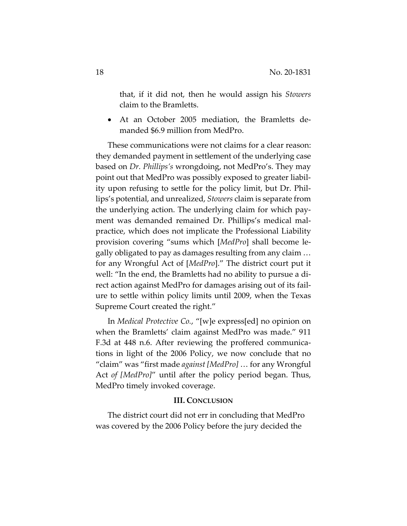that, if it did not, then he would assign his *Stowers* claim to the Bramletts.

 At an October 2005 mediation, the Bramletts demanded \$6.9 million from MedPro.

These communications were not claims for a clear reason: they demanded payment in settlement of the underlying case based on *Dr. Phillips's* wrongdoing, not MedPro's. They may point out that MedPro was possibly exposed to greater liability upon refusing to settle for the policy limit, but Dr. Phillips's potential, and unrealized, *Stowers* claim is separate from the underlying action. The underlying claim for which payment was demanded remained Dr. Phillips's medical malpractice, which does not implicate the Professional Liability provision covering "sums which [*MedPro*] shall become legally obligated to pay as damages resulting from any claim … for any Wrongful Act of [*MedPro*]." The district court put it well: "In the end, the Bramletts had no ability to pursue a direct action against MedPro for damages arising out of its failure to settle within policy limits until 2009, when the Texas Supreme Court created the right."

In *Medical Protective Co.*, "[w]e express[ed] no opinion on when the Bramletts' claim against MedPro was made." 911 F.3d at 448 n.6. After reviewing the proffered communications in light of the 2006 Policy, we now conclude that no "claim" was "first made *against [MedPro]* … for any Wrongful Act *of [MedPro]*" until after the policy period began. Thus, MedPro timely invoked coverage.

## **III. CONCLUSION**

The district court did not err in concluding that MedPro was covered by the 2006 Policy before the jury decided the